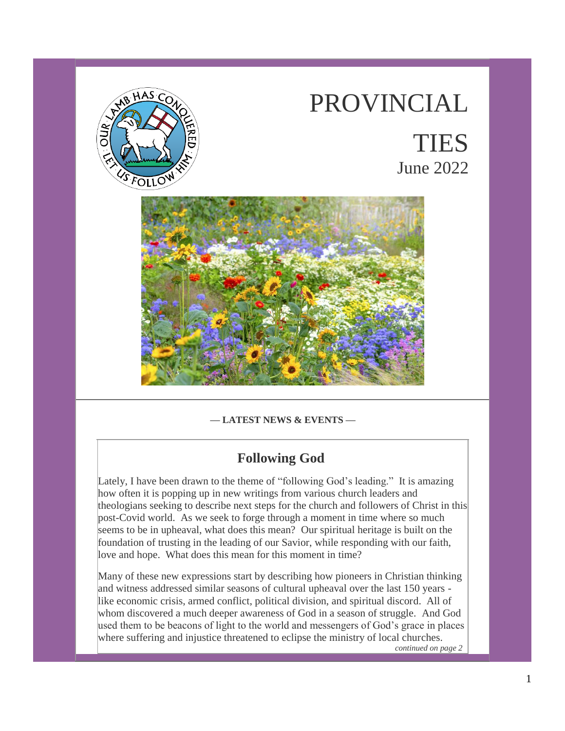

# PROVINCIAL TIES June 2022



## **— LATEST NEWS & EVENTS —**

## **Following God**

Lately, I have been drawn to the theme of "following God's leading." It is amazing how often it is popping up in new writings from various church leaders and theologians seeking to describe next steps for the church and followers of Christ in this post-Covid world. As we seek to forge through a moment in time where so much seems to be in upheaval, what does this mean? Our spiritual heritage is built on the foundation of trusting in the leading of our Savior, while responding with our faith, love and hope. What does this mean for this moment in time?

Many of these new expressions start by describing how pioneers in Christian thinking and witness addressed similar seasons of cultural upheaval over the last 150 years like economic crisis, armed conflict, political division, and spiritual discord. All of whom discovered a much deeper awareness of God in a season of struggle. And God used them to be beacons of light to the world and messengers of God's grace in places where suffering and injustice threatened to eclipse the ministry of local churches.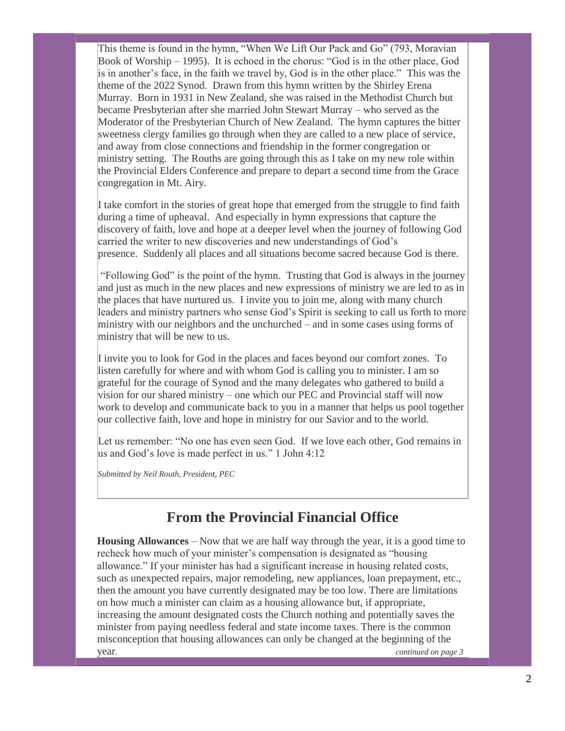This theme is found in the hymn, "When We Lift Our Pack and Go" (793, Moravian Book of Worship – 1995). It is echoed in the chorus: "God is in the other place, God is in another's face, in the faith we travel by, God is in the other place." This was the theme of the 2022 Synod. Drawn from this hymn written by the Shirley Erena Murray. Born in 1931 in New Zealand, she was raised in the Methodist Church but became Presbyterian after she married John Stewart Murray – who served as the Moderator of the Presbyterian Church of New Zealand. The hymn captures the bitter sweetness clergy families go through when they are called to a new place of service, and away from close connections and friendship in the former congregation or ministry setting. The Rouths are going through this as I take on my new role within the Provincial Elders Conference and prepare to depart a second time from the Grace congregation in Mt. Airy.

I take comfort in the stories of great hope that emerged from the struggle to find faith during a time of upheaval. And especially in hymn expressions that capture the discovery of faith, love and hope at a deeper level when the journey of following God carried the writer to new discoveries and new understandings of God's presence. Suddenly all places and all situations become sacred because God is there.

"Following God" is the point of the hymn. Trusting that God is always in the journey and just as much in the new places and new expressions of ministry we are led to as in the places that have nurtured us. I invite you to join me, along with many church leaders and ministry partners who sense God's Spirit is seeking to call us forth to more ministry with our neighbors and the unchurched – and in some cases using forms of ministry that will be new to us.

I invite you to look for God in the places and faces beyond our comfort zones. To listen carefully for where and with whom God is calling you to minister. I am so grateful for the courage of Synod and the many delegates who gathered to build a vision for our shared ministry – one which our PEC and Provincial staff will now work to develop and communicate back to you in a manner that helps us pool together our collective faith, love and hope in ministry for our Savior and to the world.

Let us remember: "No one has even seen God. If we love each other, God remains in us and God's love is made perfect in us." 1 John 4:12

*Submitted by Neil Routh, President, PEC*

## **From the Provincial Financial Office**

**Housing Allowances** – Now that we are half way through the year, it is a good time to recheck how much of your minister's compensation is designated as "housing allowance." If your minister has had a significant increase in housing related costs, such as unexpected repairs, major remodeling, new appliances, loan prepayment, etc., then the amount you have currently designated may be too low. There are limitations on how much a minister can claim as a housing allowance but, if appropriate, increasing the amount designated costs the Church nothing and potentially saves the minister from paying needless federal and state income taxes. There is the common misconception that housing allowances can only be changed at the beginning of the year. *continued on page 3*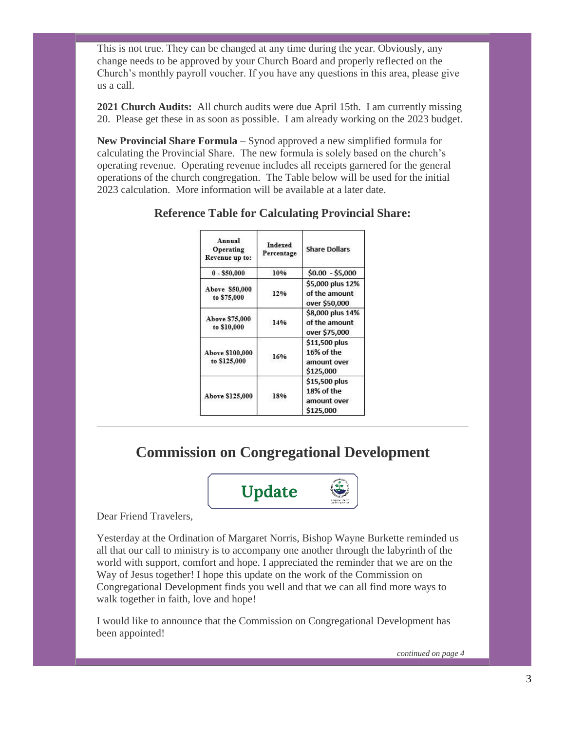This is not true. They can be changed at any time during the year. Obviously, any change needs to be approved by your Church Board and properly reflected on the Church's monthly payroll voucher. If you have any questions in this area, please give us a call.

**2021 Church Audits:** All church audits were due April 15th. I am currently missing 20. Please get these in as soon as possible. I am already working on the 2023 budget.

**New Provincial Share Formula** – Synod approved a new simplified formula for calculating the Provincial Share. The new formula is solely based on the church's operating revenue. Operating revenue includes all receipts garnered for the general operations of the church congregation. The Table below will be used for the initial 2023 calculation. More information will be available at a later date.

| Annual<br>Operating<br>Revenue up to: | Indexed<br>Percentage | <b>Share Dollars</b>                                    |
|---------------------------------------|-----------------------|---------------------------------------------------------|
| $0 - $50,000$                         | 10%                   | $$0.00 - $5,000$                                        |
| Above \$50,000<br>to \$75,000         | 12%                   | \$5,000 plus 12%<br>of the amount<br>over \$50,000      |
| Above \$75,000<br>to \$10,000         | 14%                   | \$8,000 plus 14%<br>of the amount<br>over \$75,000      |
| Above \$100,000<br>to \$125,000       | 16%                   | \$11,500 plus<br>16% of the<br>amount over<br>\$125.000 |
| Above \$125,000                       | 18%                   | \$15,500 plus<br>18% of the<br>amount over<br>\$125,000 |

## **Reference Table for Calculating Provincial Share:**

## **Commission on Congregational Development**



Dear Friend Travelers,

Yesterday at the Ordination of Margaret Norris, Bishop Wayne Burkette reminded us all that our call to ministry is to accompany one another through the labyrinth of the world with support, comfort and hope. I appreciated the reminder that we are on the Way of Jesus together! I hope this update on the work of the Commission on Congregational Development finds you well and that we can all find more ways to walk together in faith, love and hope!

I would like to announce that the Commission on Congregational Development has been appointed!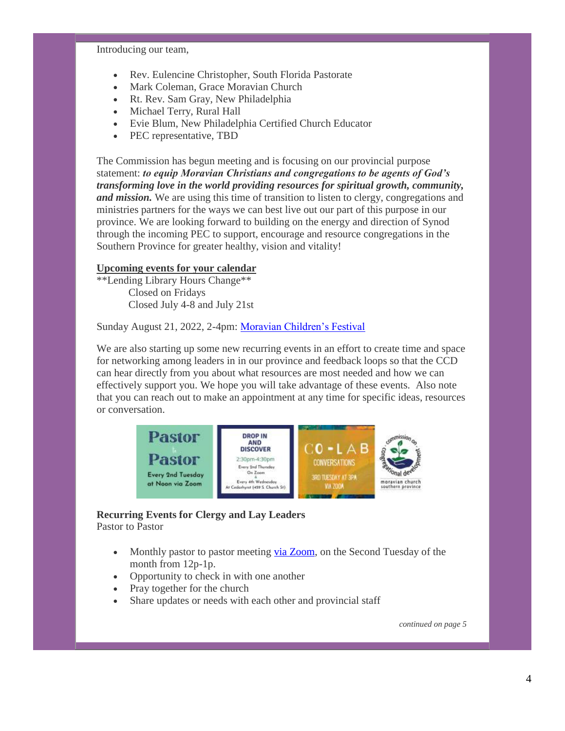Introducing our team,

- Rev. Eulencine Christopher, South Florida Pastorate
- Mark Coleman, Grace Moravian Church
- Rt. Rev. Sam Gray, New Philadelphia
- Michael Terry, Rural Hall
- Evie Blum, New Philadelphia Certified Church Educator
- PEC representative, TBD

The Commission has begun meeting and is focusing on our provincial purpose statement: *to equip Moravian Christians and congregations to be agents of God's transforming love in the world providing resources for spiritual growth, community, and mission.* We are using this time of transition to listen to clergy, congregations and ministries partners for the ways we can best live out our part of this purpose in our province. We are looking forward to building on the energy and direction of Synod through the incoming PEC to support, encourage and resource congregations in the Southern Province for greater healthy, vision and vitality!

## **Upcoming events for your calendar**

\*\*Lending Library Hours Change\*\* Closed on Fridays Closed July 4-8 and July 21st

Sunday August 21, 2022, 2-4pm: [Moravian Children's Festival](https://www.moravian.org/ccd/2022/03/16/childrens-festival-lovefeast-2022-august-21st-2022/)

We are also starting up some new recurring events in an effort to create time and space for networking among leaders in in our province and feedback loops so that the CCD can hear directly from you about what resources are most needed and how we can effectively support you. We hope you will take advantage of these events. Also note that you can reach out to make an appointment at any time for specific ideas, resources or conversation.



#### **Recurring Events for Clergy and Lay Leaders** Pastor to Pastor

- Monthly pastor to pastor meeting [via Zoom,](https://us02web.zoom.us/j/87597860559) on the Second Tuesday of the month from 12p-1p.
- Opportunity to check in with one another
- Pray together for the church
- Share updates or needs with each other and provincial staff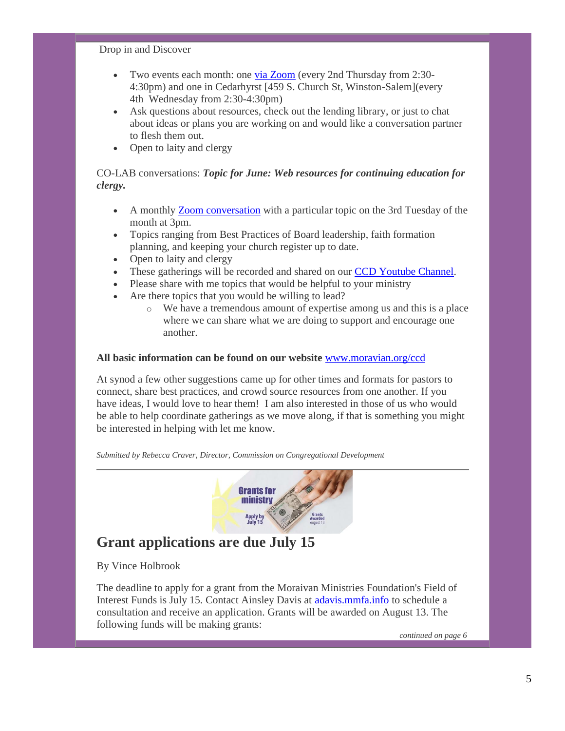#### Drop in and Discover

- Two events each month: one [via Zoom](https://us02web.zoom.us/j/82103829583) (every 2nd Thursday from 2:30- 4:30pm) and one in Cedarhyrst [459 S. Church St, Winston-Salem](every 4th Wednesday from 2:30-4:30pm)
- Ask questions about resources, check out the lending library, or just to chat about ideas or plans you are working on and would like a conversation partner to flesh them out.
- Open to laity and clergy

## CO-LAB conversations: *Topic for June: Web resources for continuing education for clergy.*

- A monthly [Zoom conversation](https://us02web.zoom.us/j/82721052680) with a particular topic on the 3rd Tuesday of the month at 3pm.
- Topics ranging from Best Practices of Board leadership, faith formation planning, and keeping your church register up to date.
- Open to laity and clergy
- These gatherings will be recorded and shared on our [CCD Youtube Channel.](https://www.youtube.com/channel/UCqIptRoe04O1L2yhudnN3xw)
- Please share with me topics that would be helpful to your ministry
- Are there topics that you would be willing to lead?
	- $\circ$  We have a tremendous amount of expertise among us and this is a place where we can share what we are doing to support and encourage one another.

#### **All basic information can be found on our website** [www.moravian.org/ccd](http://www.moravian.org/ccd)

At synod a few other suggestions came up for other times and formats for pastors to connect, share best practices, and crowd source resources from one another. If you have ideas, I would love to hear them! I am also interested in those of us who would be able to help coordinate gatherings as we move along, if that is something you might be interested in helping with let me know.

*Submitted by Rebecca Craver, Director, Commission on Congregational Development*



## **Grant applications are due July 15**

By Vince Holbrook

The deadline to apply for a grant from the Moraivan Ministries Foundation's Field of Interest Funds is July 15. Contact Ainsley Davis at [adavis.mmfa.info](http://adavis.mmfa.info/) to schedule a consultation and receive an application. Grants will be awarded on August 13. The following funds will be making grants: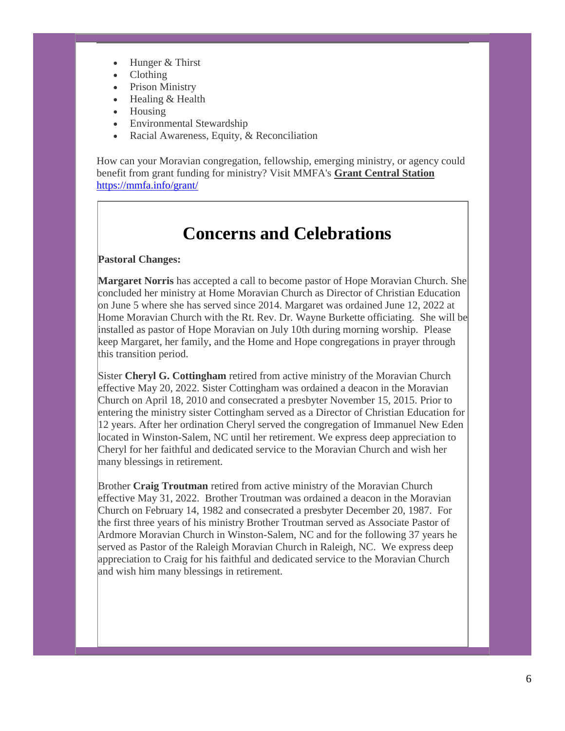- Hunger & Thirst
- Clothing
- Prison Ministry
- Healing & Health
- Housing
- Environmental Stewardship
- Racial Awareness, Equity, & Reconciliation

How can your Moravian congregation, fellowship, emerging ministry, or agency could benefit from grant funding for ministry? Visit MMFA's **Grant Central Station** <https://mmfa.info/grant/>

# **Concerns and Celebrations**

#### **Pastoral Changes:**

**Margaret Norris** has accepted a call to become pastor of Hope Moravian Church. She concluded her ministry at Home Moravian Church as Director of Christian Education on June 5 where she has served since 2014. Margaret was ordained June 12, 2022 at Home Moravian Church with the Rt. Rev. Dr. Wayne Burkette officiating. She will be installed as pastor of Hope Moravian on July 10th during morning worship. Please keep Margaret, her family, and the Home and Hope congregations in prayer through this transition period.

Sister **Cheryl G. Cottingham** retired from active ministry of the Moravian Church effective May 20, 2022. Sister Cottingham was ordained a deacon in the Moravian Church on April 18, 2010 and consecrated a presbyter November 15, 2015. Prior to entering the ministry sister Cottingham served as a Director of Christian Education for 12 years. After her ordination Cheryl served the congregation of Immanuel New Eden located in Winston-Salem, NC until her retirement. We express deep appreciation to Cheryl for her faithful and dedicated service to the Moravian Church and wish her many blessings in retirement.

Brother **Craig Troutman** retired from active ministry of the Moravian Church effective May 31, 2022. Brother Troutman was ordained a deacon in the Moravian Church on February 14, 1982 and consecrated a presbyter December 20, 1987. For the first three years of his ministry Brother Troutman served as Associate Pastor of Ardmore Moravian Church in Winston-Salem, NC and for the following 37 years he served as Pastor of the Raleigh Moravian Church in Raleigh, NC. We express deep appreciation to Craig for his faithful and dedicated service to the Moravian Church and wish him many blessings in retirement.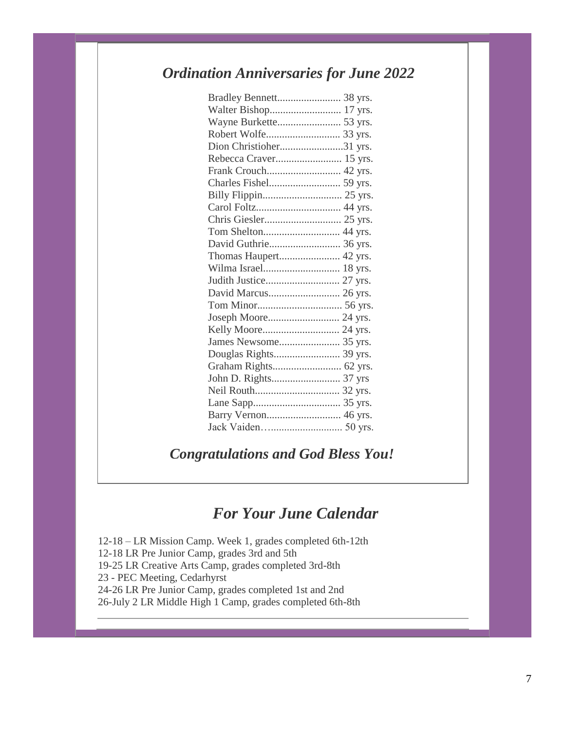# *Ordination Anniversaries for June 2022*

| Dion Christioher31 yrs. |  |
|-------------------------|--|
|                         |  |
|                         |  |
|                         |  |
|                         |  |
|                         |  |
|                         |  |
|                         |  |
| David Guthrie 36 yrs.   |  |
|                         |  |
|                         |  |
|                         |  |
|                         |  |
|                         |  |
|                         |  |
|                         |  |
|                         |  |
|                         |  |
|                         |  |
|                         |  |
|                         |  |
|                         |  |
|                         |  |
|                         |  |

# *Congratulations and God Bless You!*

# *For Your June Calendar*

12-18 – LR Mission Camp. Week 1, grades completed 6th-12th 12-18 LR Pre Junior Camp, grades 3rd and 5th 19-25 LR Creative Arts Camp, grades completed 3rd-8th 23 - PEC Meeting, Cedarhyrst 24-26 LR Pre Junior Camp, grades completed 1st and 2nd 26-July 2 LR Middle High 1 Camp, grades completed 6th-8th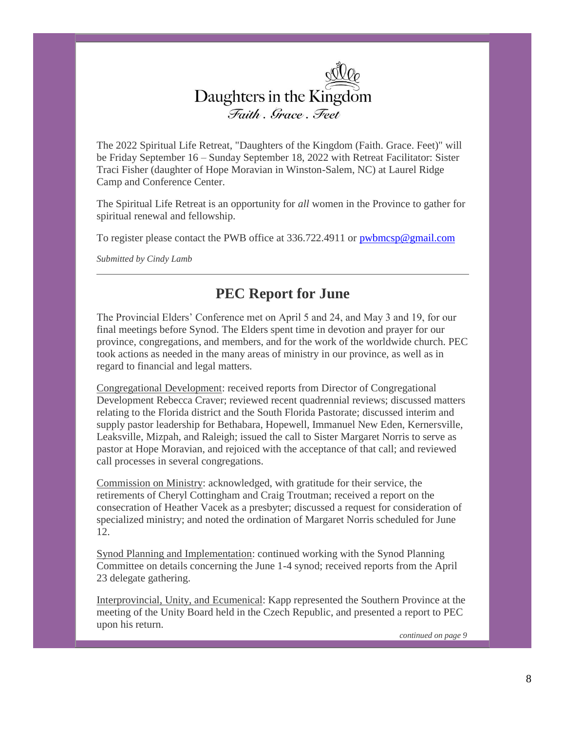

The 2022 Spiritual Life Retreat, "Daughters of the Kingdom (Faith. Grace. Feet)" will be Friday September 16 – Sunday September 18, 2022 with Retreat Facilitator: Sister Traci Fisher (daughter of Hope Moravian in Winston-Salem, NC) at Laurel Ridge Camp and Conference Center.

The Spiritual Life Retreat is an opportunity for *all* women in the Province to gather for spiritual renewal and fellowship.

To register please contact the PWB office at 336.722.4911 or  $\frac{pwbmcsp@gmail.com}{pwbmcsp@gmail.com}$ 

*Submitted by Cindy Lamb*

## **PEC Report for June**

The Provincial Elders' Conference met on April 5 and 24, and May 3 and 19, for our final meetings before Synod. The Elders spent time in devotion and prayer for our province, congregations, and members, and for the work of the worldwide church. PEC took actions as needed in the many areas of ministry in our province, as well as in regard to financial and legal matters.

Congregational Development: received reports from Director of Congregational Development Rebecca Craver; reviewed recent quadrennial reviews; discussed matters relating to the Florida district and the South Florida Pastorate; discussed interim and supply pastor leadership for Bethabara, Hopewell, Immanuel New Eden, Kernersville, Leaksville, Mizpah, and Raleigh; issued the call to Sister Margaret Norris to serve as pastor at Hope Moravian, and rejoiced with the acceptance of that call; and reviewed call processes in several congregations.

Commission on Ministry: acknowledged, with gratitude for their service, the retirements of Cheryl Cottingham and Craig Troutman; received a report on the consecration of Heather Vacek as a presbyter; discussed a request for consideration of specialized ministry; and noted the ordination of Margaret Norris scheduled for June 12.

Synod Planning and Implementation: continued working with the Synod Planning Committee on details concerning the June 1-4 synod; received reports from the April 23 delegate gathering.

Interprovincial, Unity, and Ecumenical: Kapp represented the Southern Province at the meeting of the Unity Board held in the Czech Republic, and presented a report to PEC upon his return.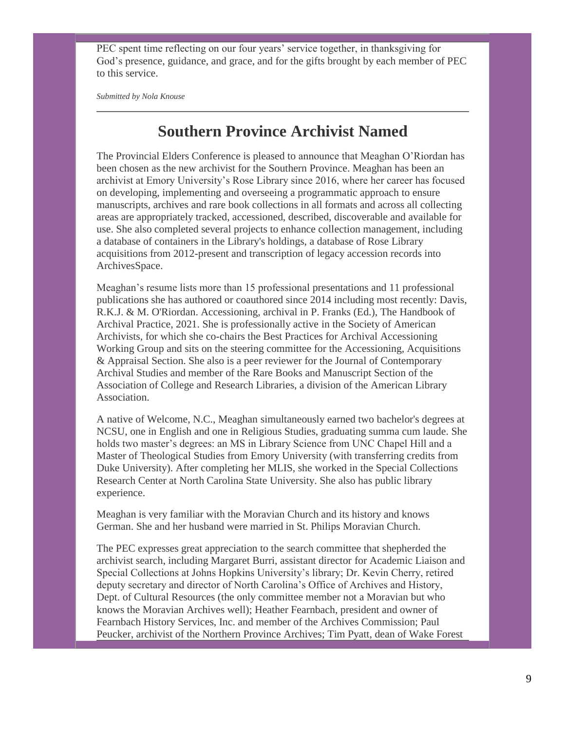PEC spent time reflecting on our four years' service together, in thanksgiving for God's presence, guidance, and grace, and for the gifts brought by each member of PEC to this service.

*Submitted by Nola Knouse*

# **Southern Province Archivist Named**

The Provincial Elders Conference is pleased to announce that Meaghan O'Riordan has been chosen as the new archivist for the Southern Province. Meaghan has been an archivist at Emory University's Rose Library since 2016, where her career has focused on developing, implementing and overseeing a programmatic approach to ensure manuscripts, archives and rare book collections in all formats and across all collecting areas are appropriately tracked, accessioned, described, discoverable and available for use. She also completed several projects to enhance collection management, including a database of containers in the Library's holdings, a database of Rose Library acquisitions from 2012-present and transcription of legacy accession records into ArchivesSpace.

Meaghan's resume lists more than 15 professional presentations and 11 professional publications she has authored or coauthored since 2014 including most recently: Davis, R.K.J. & M. O'Riordan. Accessioning, archival in P. Franks (Ed.), The Handbook of Archival Practice, 2021. She is professionally active in the Society of American Archivists, for which she co-chairs the Best Practices for Archival Accessioning Working Group and sits on the steering committee for the Accessioning, Acquisitions & Appraisal Section. She also is a peer reviewer for the Journal of Contemporary Archival Studies and member of the Rare Books and Manuscript Section of the Association of College and Research Libraries, a division of the American Library Association.

A native of Welcome, N.C., Meaghan simultaneously earned two bachelor's degrees at NCSU, one in English and one in Religious Studies, graduating summa cum laude. She holds two master's degrees: an MS in Library Science from UNC Chapel Hill and a Master of Theological Studies from Emory University (with transferring credits from Duke University). After completing her MLIS, she worked in the Special Collections Research Center at North Carolina State University. She also has public library experience.

Meaghan is very familiar with the Moravian Church and its history and knows German. She and her husband were married in St. Philips Moravian Church.

The PEC expresses great appreciation to the search committee that shepherded the archivist search, including Margaret Burri, assistant director for Academic Liaison and Special Collections at Johns Hopkins University's library; Dr. Kevin Cherry, retired deputy secretary and director of North Carolina's Office of Archives and History, Dept. of Cultural Resources (the only committee member not a Moravian but who knows the Moravian Archives well); Heather Fearnbach, president and owner of Fearnbach History Services, Inc. and member of the Archives Commission; Paul Peucker, archivist of the Northern Province Archives; Tim Pyatt, dean of Wake Forest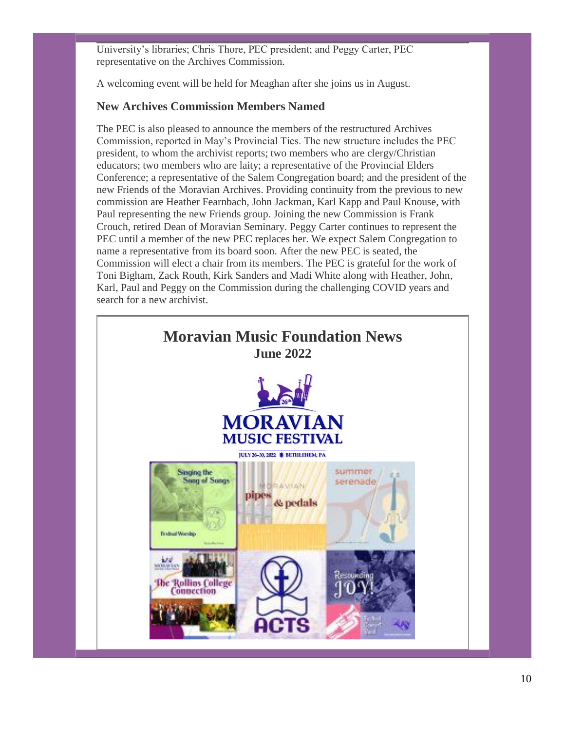University's libraries; Chris Thore, PEC president; and Peggy Carter, PEC representative on the Archives Commission.

A welcoming event will be held for Meaghan after she joins us in August.

## **New Archives Commission Members Named**

The PEC is also pleased to announce the members of the restructured Archives Commission, reported in May's Provincial Ties. The new structure includes the PEC president, to whom the archivist reports; two members who are clergy/Christian educators; two members who are laity; a representative of the Provincial Elders Conference; a representative of the Salem Congregation board; and the president of the new Friends of the Moravian Archives. Providing continuity from the previous to new commission are Heather Fearnbach, John Jackman, Karl Kapp and Paul Knouse, with Paul representing the new Friends group. Joining the new Commission is Frank Crouch, retired Dean of Moravian Seminary. Peggy Carter continues to represent the PEC until a member of the new PEC replaces her. We expect Salem Congregation to name a representative from its board soon. After the new PEC is seated, the Commission will elect a chair from its members. The PEC is grateful for the work of Toni Bigham, Zack Routh, Kirk Sanders and Madi White along with Heather, John, Karl, Paul and Peggy on the Commission during the challenging COVID years and search for a new archivist.